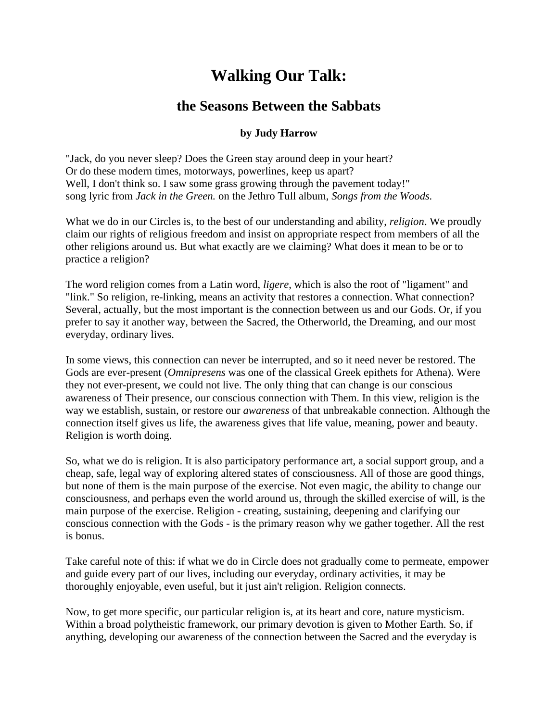## **Walking Our Talk:**

## **the Seasons Between the Sabbats**

## **by Judy Harrow**

"Jack, do you never sleep? Does the Green stay around deep in your heart? Or do these modern times, motorways, powerlines, keep us apart? Well, I don't think so. I saw some grass growing through the pavement today!" song lyric from *Jack in the Green.* on the Jethro Tull album, *Songs from the Woods.*

What we do in our Circles is, to the best of our understanding and ability, *religion*. We proudly claim our rights of religious freedom and insist on appropriate respect from members of all the other religions around us. But what exactly are we claiming? What does it mean to be or to practice a religion?

The word religion comes from a Latin word, *ligere*, which is also the root of "ligament" and "link." So religion, re-linking, means an activity that restores a connection. What connection? Several, actually, but the most important is the connection between us and our Gods. Or, if you prefer to say it another way, between the Sacred, the Otherworld, the Dreaming, and our most everyday, ordinary lives.

In some views, this connection can never be interrupted, and so it need never be restored. The Gods are ever-present (*Omnipresens* was one of the classical Greek epithets for Athena). Were they not ever-present, we could not live. The only thing that can change is our conscious awareness of Their presence, our conscious connection with Them. In this view, religion is the way we establish, sustain, or restore our *awareness* of that unbreakable connection. Although the connection itself gives us life, the awareness gives that life value, meaning, power and beauty. Religion is worth doing.

So, what we do is religion. It is also participatory performance art, a social support group, and a cheap, safe, legal way of exploring altered states of consciousness. All of those are good things, but none of them is the main purpose of the exercise. Not even magic, the ability to change our consciousness, and perhaps even the world around us, through the skilled exercise of will, is the main purpose of the exercise. Religion - creating, sustaining, deepening and clarifying our conscious connection with the Gods - is the primary reason why we gather together. All the rest is bonus.

Take careful note of this: if what we do in Circle does not gradually come to permeate, empower and guide every part of our lives, including our everyday, ordinary activities, it may be thoroughly enjoyable, even useful, but it just ain't religion. Religion connects.

Now, to get more specific, our particular religion is, at its heart and core, nature mysticism. Within a broad polytheistic framework, our primary devotion is given to Mother Earth. So, if anything, developing our awareness of the connection between the Sacred and the everyday is